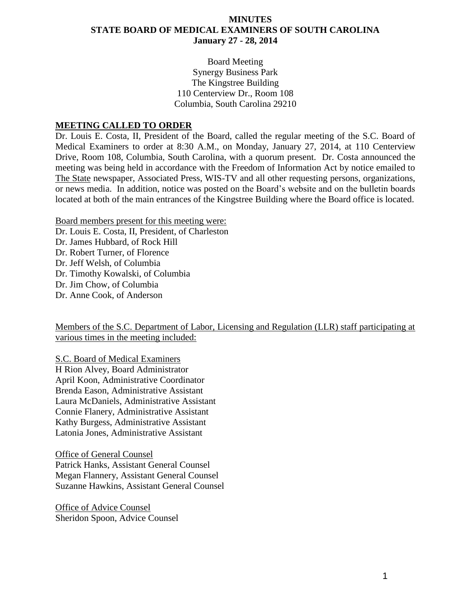## **MINUTES STATE BOARD OF MEDICAL EXAMINERS OF SOUTH CAROLINA January 27 - 28, 2014**

Board Meeting Synergy Business Park The Kingstree Building 110 Centerview Dr., Room 108 Columbia, South Carolina 29210

#### **MEETING CALLED TO ORDER**

Dr. Louis E. Costa, II, President of the Board, called the regular meeting of the S.C. Board of Medical Examiners to order at 8:30 A.M., on Monday, January 27, 2014, at 110 Centerview Drive, Room 108, Columbia, South Carolina, with a quorum present. Dr. Costa announced the meeting was being held in accordance with the Freedom of Information Act by notice emailed to The State newspaper, Associated Press, WIS-TV and all other requesting persons, organizations, or news media. In addition, notice was posted on the Board's website and on the bulletin boards located at both of the main entrances of the Kingstree Building where the Board office is located.

Board members present for this meeting were:

Dr. Louis E. Costa, II, President, of Charleston

Dr. James Hubbard, of Rock Hill

Dr. Robert Turner, of Florence

Dr. Jeff Welsh, of Columbia

Dr. Timothy Kowalski, of Columbia

Dr. Jim Chow, of Columbia

Dr. Anne Cook, of Anderson

Members of the S.C. Department of Labor, Licensing and Regulation (LLR) staff participating at various times in the meeting included:

S.C. Board of Medical Examiners H Rion Alvey, Board Administrator April Koon, Administrative Coordinator Brenda Eason, Administrative Assistant Laura McDaniels, Administrative Assistant Connie Flanery, Administrative Assistant Kathy Burgess, Administrative Assistant Latonia Jones, Administrative Assistant

Office of General Counsel Patrick Hanks, Assistant General Counsel Megan Flannery, Assistant General Counsel Suzanne Hawkins, Assistant General Counsel

Office of Advice Counsel Sheridon Spoon, Advice Counsel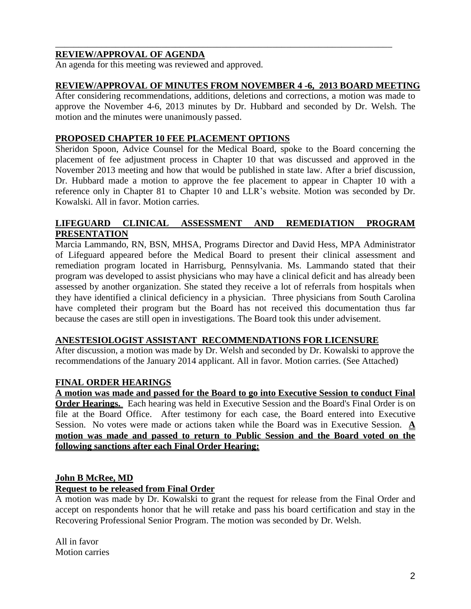## **REVIEW/APPROVAL OF AGENDA**

An agenda for this meeting was reviewed and approved.

#### **REVIEW/APPROVAL OF MINUTES FROM NOVEMBER 4 -6, 2013 BOARD MEETING**

\_\_\_\_\_\_\_\_\_\_\_\_\_\_\_\_\_\_\_\_\_\_\_\_\_\_\_\_\_\_\_\_\_\_\_\_\_\_\_\_\_\_\_\_\_\_\_\_\_\_\_\_\_\_\_\_\_\_\_\_\_\_\_\_\_\_\_\_\_\_\_\_\_

After considering recommendations, additions, deletions and corrections, a motion was made to approve the November 4-6, 2013 minutes by Dr. Hubbard and seconded by Dr. Welsh. The motion and the minutes were unanimously passed.

#### **PROPOSED CHAPTER 10 FEE PLACEMENT OPTIONS**

Sheridon Spoon, Advice Counsel for the Medical Board, spoke to the Board concerning the placement of fee adjustment process in Chapter 10 that was discussed and approved in the November 2013 meeting and how that would be published in state law. After a brief discussion, Dr. Hubbard made a motion to approve the fee placement to appear in Chapter 10 with a reference only in Chapter 81 to Chapter 10 and LLR's website. Motion was seconded by Dr. Kowalski. All in favor. Motion carries.

## **LIFEGUARD CLINICAL ASSESSMENT AND REMEDIATION PROGRAM PRESENTATION**

Marcia Lammando, RN, BSN, MHSA, Programs Director and David Hess, MPA Administrator of Lifeguard appeared before the Medical Board to present their clinical assessment and remediation program located in Harrisburg, Pennsylvania. Ms. Lammando stated that their program was developed to assist physicians who may have a clinical deficit and has already been assessed by another organization. She stated they receive a lot of referrals from hospitals when they have identified a clinical deficiency in a physician. Three physicians from South Carolina have completed their program but the Board has not received this documentation thus far because the cases are still open in investigations. The Board took this under advisement.

## **ANESTESIOLOGIST ASSISTANT RECOMMENDATIONS FOR LICENSURE**

After discussion, a motion was made by Dr. Welsh and seconded by Dr. Kowalski to approve the recommendations of the January 2014 applicant. All in favor. Motion carries. (See Attached)

## **FINAL ORDER HEARINGS**

**A motion was made and passed for the Board to go into Executive Session to conduct Final Order Hearings.** Each hearing was held in Executive Session and the Board's Final Order is on file at the Board Office. After testimony for each case, the Board entered into Executive Session. No votes were made or actions taken while the Board was in Executive Session. **A motion was made and passed to return to Public Session and the Board voted on the following sanctions after each Final Order Hearing:**

## **John B McRee, MD**

#### **Request to be released from Final Order**

A motion was made by Dr. Kowalski to grant the request for release from the Final Order and accept on respondents honor that he will retake and pass his board certification and stay in the Recovering Professional Senior Program. The motion was seconded by Dr. Welsh.

All in favor Motion carries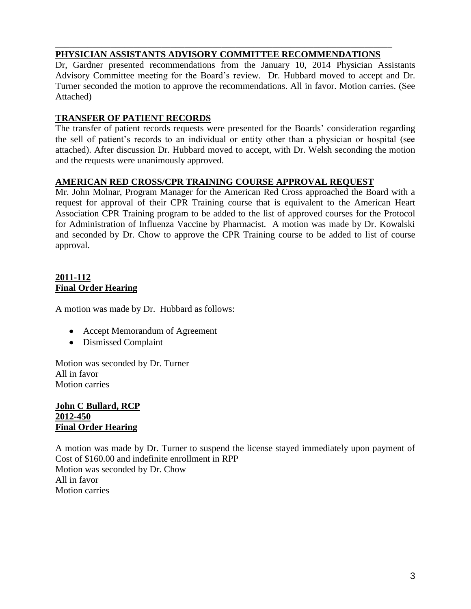#### \_\_\_\_\_\_\_\_\_\_\_\_\_\_\_\_\_\_\_\_\_\_\_\_\_\_\_\_\_\_\_\_\_\_\_\_\_\_\_\_\_\_\_\_\_\_\_\_\_\_\_\_\_\_\_\_\_\_\_\_\_\_\_\_\_\_\_\_\_\_\_\_\_ **PHYSICIAN ASSISTANTS ADVISORY COMMITTEE RECOMMENDATIONS**

Dr, Gardner presented recommendations from the January 10, 2014 Physician Assistants Advisory Committee meeting for the Board's review. Dr. Hubbard moved to accept and Dr. Turner seconded the motion to approve the recommendations. All in favor. Motion carries. (See Attached)

## **TRANSFER OF PATIENT RECORDS**

The transfer of patient records requests were presented for the Boards' consideration regarding the sell of patient's records to an individual or entity other than a physician or hospital (see attached). After discussion Dr. Hubbard moved to accept, with Dr. Welsh seconding the motion and the requests were unanimously approved.

## **AMERICAN RED CROSS/CPR TRAINING COURSE APPROVAL REQUEST**

Mr. John Molnar, Program Manager for the American Red Cross approached the Board with a request for approval of their CPR Training course that is equivalent to the American Heart Association CPR Training program to be added to the list of approved courses for the Protocol for Administration of Influenza Vaccine by Pharmacist. A motion was made by Dr. Kowalski and seconded by Dr. Chow to approve the CPR Training course to be added to list of course approval.

## **2011-112 Final Order Hearing**

A motion was made by Dr. Hubbard as follows:

- Accept Memorandum of Agreement
- Dismissed Complaint

Motion was seconded by Dr. Turner All in favor Motion carries

#### **John C Bullard, RCP 2012-450 Final Order Hearing**

A motion was made by Dr. Turner to suspend the license stayed immediately upon payment of Cost of \$160.00 and indefinite enrollment in RPP Motion was seconded by Dr. Chow All in favor Motion carries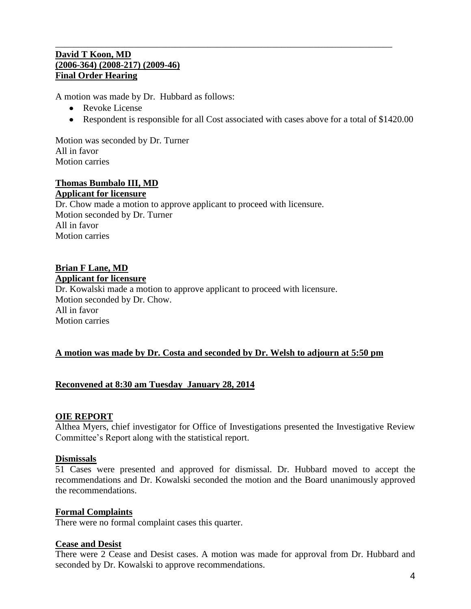#### **David T Koon, MD (2006-364) (2008-217) (2009-46) Final Order Hearing**

A motion was made by Dr. Hubbard as follows:

- Revoke License
- Respondent is responsible for all Cost associated with cases above for a total of \$1420.00

\_\_\_\_\_\_\_\_\_\_\_\_\_\_\_\_\_\_\_\_\_\_\_\_\_\_\_\_\_\_\_\_\_\_\_\_\_\_\_\_\_\_\_\_\_\_\_\_\_\_\_\_\_\_\_\_\_\_\_\_\_\_\_\_\_\_\_\_\_\_\_\_\_

Motion was seconded by Dr. Turner All in favor Motion carries

#### **Thomas Bumbalo III, MD Applicant for licensure**

Dr. Chow made a motion to approve applicant to proceed with licensure. Motion seconded by Dr. Turner All in favor Motion carries

## **Brian F Lane, MD**

**Applicant for licensure**

Dr. Kowalski made a motion to approve applicant to proceed with licensure. Motion seconded by Dr. Chow. All in favor Motion carries

#### **A motion was made by Dr. Costa and seconded by Dr. Welsh to adjourn at 5:50 pm**

#### **Reconvened at 8:30 am Tuesday January 28, 2014**

#### **OIE REPORT**

Althea Myers, chief investigator for Office of Investigations presented the Investigative Review Committee's Report along with the statistical report.

#### **Dismissals**

51 Cases were presented and approved for dismissal. Dr. Hubbard moved to accept the recommendations and Dr. Kowalski seconded the motion and the Board unanimously approved the recommendations.

#### **Formal Complaints**

There were no formal complaint cases this quarter.

#### **Cease and Desist**

There were 2 Cease and Desist cases. A motion was made for approval from Dr. Hubbard and seconded by Dr. Kowalski to approve recommendations.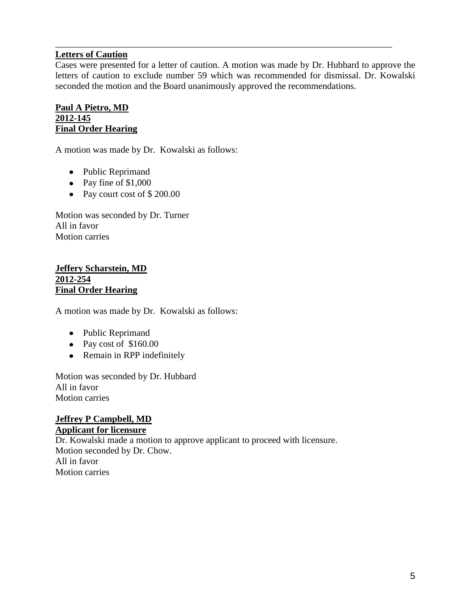## **Letters of Caution**

Cases were presented for a letter of caution. A motion was made by Dr. Hubbard to approve the letters of caution to exclude number 59 which was recommended for dismissal. Dr. Kowalski seconded the motion and the Board unanimously approved the recommendations.

\_\_\_\_\_\_\_\_\_\_\_\_\_\_\_\_\_\_\_\_\_\_\_\_\_\_\_\_\_\_\_\_\_\_\_\_\_\_\_\_\_\_\_\_\_\_\_\_\_\_\_\_\_\_\_\_\_\_\_\_\_\_\_\_\_\_\_\_\_\_\_\_\_

#### **Paul A Pietro, MD 2012-145 Final Order Hearing**

A motion was made by Dr. Kowalski as follows:

- Public Reprimand
- Pay fine of  $$1,000$
- Pay court cost of \$200.00

Motion was seconded by Dr. Turner All in favor Motion carries

#### **Jeffery Scharstein, MD 2012-254 Final Order Hearing**

A motion was made by Dr. Kowalski as follows:

- Public Reprimand
- Pay cost of \$160.00
- Remain in RPP indefinitely

Motion was seconded by Dr. Hubbard All in favor Motion carries

#### **Jeffrey P Campbell, MD Applicant for licensure**

Dr. Kowalski made a motion to approve applicant to proceed with licensure. Motion seconded by Dr. Chow. All in favor Motion carries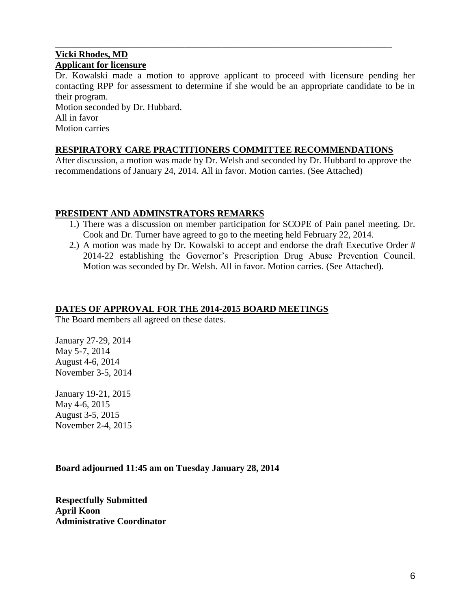## **Vicki Rhodes, MD Applicant for licensure**

Dr. Kowalski made a motion to approve applicant to proceed with licensure pending her contacting RPP for assessment to determine if she would be an appropriate candidate to be in their program.

\_\_\_\_\_\_\_\_\_\_\_\_\_\_\_\_\_\_\_\_\_\_\_\_\_\_\_\_\_\_\_\_\_\_\_\_\_\_\_\_\_\_\_\_\_\_\_\_\_\_\_\_\_\_\_\_\_\_\_\_\_\_\_\_\_\_\_\_\_\_\_\_\_

Motion seconded by Dr. Hubbard. All in favor Motion carries

## **RESPIRATORY CARE PRACTITIONERS COMMITTEE RECOMMENDATIONS**

After discussion, a motion was made by Dr. Welsh and seconded by Dr. Hubbard to approve the recommendations of January 24, 2014. All in favor. Motion carries. (See Attached)

## **PRESIDENT AND ADMINSTRATORS REMARKS**

- 1.) There was a discussion on member participation for SCOPE of Pain panel meeting. Dr. Cook and Dr. Turner have agreed to go to the meeting held February 22, 2014.
- 2.) A motion was made by Dr. Kowalski to accept and endorse the draft Executive Order # 2014-22 establishing the Governor's Prescription Drug Abuse Prevention Council. Motion was seconded by Dr. Welsh. All in favor. Motion carries. (See Attached).

#### **DATES OF APPROVAL FOR THE 2014-2015 BOARD MEETINGS**

The Board members all agreed on these dates.

January 27-29, 2014 May 5-7, 2014 August 4-6, 2014 November 3-5, 2014

January 19-21, 2015 May 4-6, 2015 August 3-5, 2015 November 2-4, 2015

## **Board adjourned 11:45 am on Tuesday January 28, 2014**

**Respectfully Submitted April Koon Administrative Coordinator**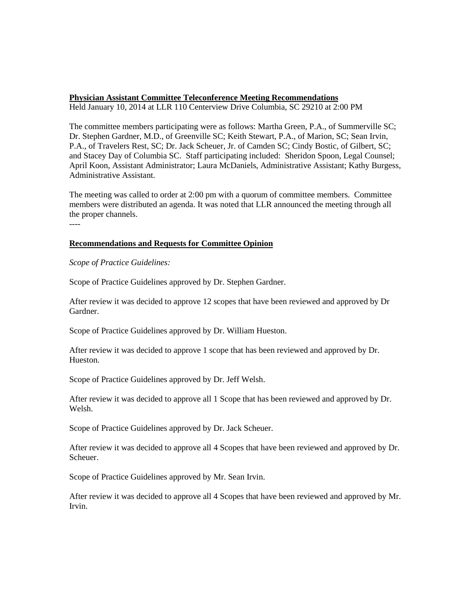#### **Physician Assistant Committee Teleconference Meeting Recommendations**

Held January 10, 2014 at LLR 110 Centerview Drive Columbia, SC 29210 at 2:00 PM

The committee members participating were as follows: Martha Green, P.A., of Summerville SC; Dr. Stephen Gardner, M.D., of Greenville SC; Keith Stewart, P.A., of Marion, SC; Sean Irvin, P.A., of Travelers Rest, SC; Dr. Jack Scheuer, Jr. of Camden SC; Cindy Bostic, of Gilbert, SC; and Stacey Day of Columbia SC. Staff participating included: Sheridon Spoon, Legal Counsel; April Koon, Assistant Administrator; Laura McDaniels, Administrative Assistant; Kathy Burgess, Administrative Assistant.

The meeting was called to order at 2:00 pm with a quorum of committee members. Committee members were distributed an agenda. It was noted that LLR announced the meeting through all the proper channels. ----

#### **Recommendations and Requests for Committee Opinion**

*Scope of Practice Guidelines:*

Scope of Practice Guidelines approved by Dr. Stephen Gardner.

After review it was decided to approve 12 scopes that have been reviewed and approved by Dr Gardner.

Scope of Practice Guidelines approved by Dr. William Hueston.

After review it was decided to approve 1 scope that has been reviewed and approved by Dr. Hueston.

Scope of Practice Guidelines approved by Dr. Jeff Welsh.

After review it was decided to approve all 1 Scope that has been reviewed and approved by Dr. Welsh.

Scope of Practice Guidelines approved by Dr. Jack Scheuer.

After review it was decided to approve all 4 Scopes that have been reviewed and approved by Dr. Scheuer.

Scope of Practice Guidelines approved by Mr. Sean Irvin.

After review it was decided to approve all 4 Scopes that have been reviewed and approved by Mr. Irvin.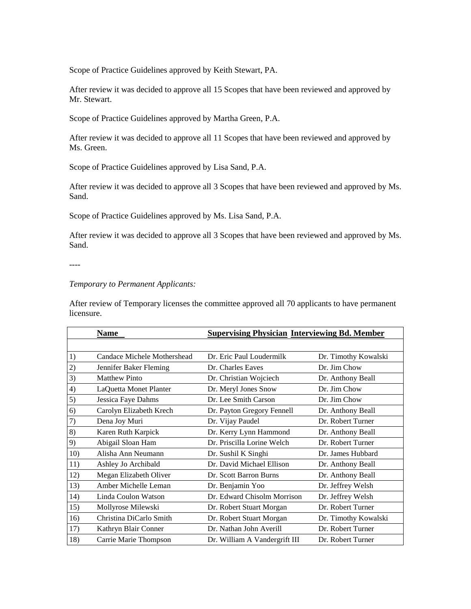Scope of Practice Guidelines approved by Keith Stewart, PA.

After review it was decided to approve all 15 Scopes that have been reviewed and approved by Mr. Stewart.

Scope of Practice Guidelines approved by Martha Green, P.A.

After review it was decided to approve all 11 Scopes that have been reviewed and approved by Ms. Green.

Scope of Practice Guidelines approved by Lisa Sand, P.A.

After review it was decided to approve all 3 Scopes that have been reviewed and approved by Ms. Sand.

Scope of Practice Guidelines approved by Ms. Lisa Sand, P.A.

After review it was decided to approve all 3 Scopes that have been reviewed and approved by Ms. Sand.

----

#### *Temporary to Permanent Applicants:*

After review of Temporary licenses the committee approved all 70 applicants to have permanent licensure.

|     | Name                        | <b>Supervising Physician Interviewing Bd. Member</b> |                      |  |
|-----|-----------------------------|------------------------------------------------------|----------------------|--|
|     |                             |                                                      |                      |  |
| 1)  | Candace Michele Mothershead | Dr. Eric Paul Loudermilk                             | Dr. Timothy Kowalski |  |
| 2)  | Jennifer Baker Fleming      | Dr. Charles Eaves                                    | Dr. Jim Chow         |  |
| 3)  | <b>Matthew Pinto</b>        | Dr. Christian Wojciech                               | Dr. Anthony Beall    |  |
| 4)  | LaQuetta Monet Planter      | Dr. Meryl Jones Snow                                 | Dr. Jim Chow         |  |
| 5)  | Jessica Faye Dahms          | Dr. Lee Smith Carson                                 | Dr. Jim Chow         |  |
| 6)  | Carolyn Elizabeth Krech     | Dr. Payton Gregory Fennell                           | Dr. Anthony Beall    |  |
| 7)  | Dena Joy Muri               | Dr. Vijay Paudel                                     | Dr. Robert Turner    |  |
| 8)  | Karen Ruth Karpick          | Dr. Kerry Lynn Hammond                               | Dr. Anthony Beall    |  |
| 9)  | Abigail Sloan Ham           | Dr. Priscilla Lorine Welch                           | Dr. Robert Turner    |  |
| 10) | Alisha Ann Neumann          | Dr. Sushil K Singhi                                  | Dr. James Hubbard    |  |
| 11) | Ashley Jo Archibald         | Dr. David Michael Ellison                            | Dr. Anthony Beall    |  |
| 12) | Megan Elizabeth Oliver      | Dr. Scott Barron Burns                               | Dr. Anthony Beall    |  |
| 13) | Amber Michelle Leman        | Dr. Benjamin Yoo                                     | Dr. Jeffrey Welsh    |  |
| 14) | Linda Coulon Watson         | Dr. Edward Chisolm Morrison                          | Dr. Jeffrey Welsh    |  |
| 15) | Mollyrose Milewski          | Dr. Robert Stuart Morgan                             | Dr. Robert Turner    |  |
| 16) | Christina DiCarlo Smith     | Dr. Robert Stuart Morgan                             | Dr. Timothy Kowalski |  |
| 17) | Kathryn Blair Conner        | Dr. Nathan John Averill                              | Dr. Robert Turner    |  |
| 18) | Carrie Marie Thompson       | Dr. William A Vandergrift III                        | Dr. Robert Turner    |  |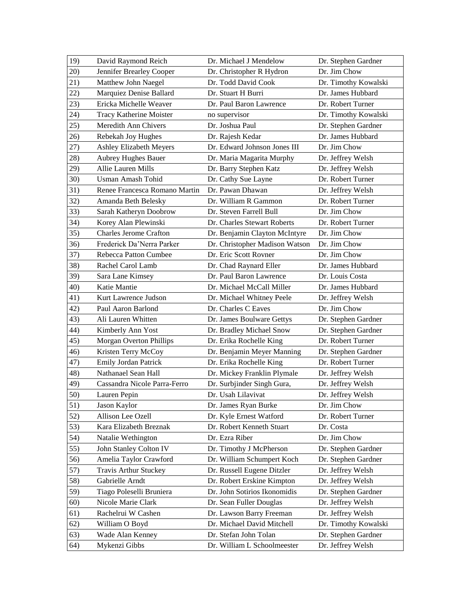| 19) | David Raymond Reich            | Dr. Michael J Mendelow         | Dr. Stephen Gardner  |
|-----|--------------------------------|--------------------------------|----------------------|
| 20) | Jennifer Brearley Cooper       | Dr. Christopher R Hydron       | Dr. Jim Chow         |
| 21) | Matthew John Naegel            | Dr. Todd David Cook            | Dr. Timothy Kowalski |
| 22) | Marquiez Denise Ballard        | Dr. Stuart H Burri             | Dr. James Hubbard    |
| 23) | Ericka Michelle Weaver         | Dr. Paul Baron Lawrence        | Dr. Robert Turner    |
| 24) | Tracy Katherine Moister        | no supervisor                  | Dr. Timothy Kowalski |
| 25) | Meredith Ann Chivers           | Dr. Joshua Paul                | Dr. Stephen Gardner  |
| 26) | Rebekah Joy Hughes             | Dr. Rajesh Kedar               | Dr. James Hubbard    |
| 27) | Ashley Elizabeth Meyers        | Dr. Edward Johnson Jones III   | Dr. Jim Chow         |
| 28) | <b>Aubrey Hughes Bauer</b>     | Dr. Maria Magarita Murphy      | Dr. Jeffrey Welsh    |
| 29) | Allie Lauren Mills             | Dr. Barry Stephen Katz         | Dr. Jeffrey Welsh    |
| 30) | Usman Amash Tohid              | Dr. Cathy Sue Layne            | Dr. Robert Turner    |
| 31) | Renee Francesca Romano Martin  | Dr. Pawan Dhawan               | Dr. Jeffrey Welsh    |
| 32) | Amanda Beth Belesky            | Dr. William R Gammon           | Dr. Robert Turner    |
| 33) | Sarah Katheryn Doobrow         | Dr. Steven Farrell Bull        | Dr. Jim Chow         |
| 34) | Korey Alan Plewinski           | Dr. Charles Stewart Roberts    | Dr. Robert Turner    |
| 35) | <b>Charles Jerome Crafton</b>  | Dr. Benjamin Clayton McIntyre  | Dr. Jim Chow         |
| 36) | Frederick Da'Nerra Parker      | Dr. Christopher Madison Watson | Dr. Jim Chow         |
| 37) | Rebecca Patton Cumbee          | Dr. Eric Scott Rovner          | Dr. Jim Chow         |
| 38) | Rachel Carol Lamb              | Dr. Chad Raynard Eller         | Dr. James Hubbard    |
| 39) | Sara Lane Kimsey               | Dr. Paul Baron Lawrence        | Dr. Louis Costa      |
| 40) | Katie Mantie                   | Dr. Michael McCall Miller      | Dr. James Hubbard    |
| 41) | Kurt Lawrence Judson           | Dr. Michael Whitney Peele      | Dr. Jeffrey Welsh    |
| 42) | Paul Aaron Barlond             | Dr. Charles C Eaves            | Dr. Jim Chow         |
| 43) | Ali Lauren Whitten             | Dr. James Boulware Gettys      | Dr. Stephen Gardner  |
| 44) | Kimberly Ann Yost              | Dr. Bradley Michael Snow       | Dr. Stephen Gardner  |
| 45) | <b>Morgan Overton Phillips</b> | Dr. Erika Rochelle King        | Dr. Robert Turner    |
| 46) | Kristen Terry McCoy            | Dr. Benjamin Meyer Manning     | Dr. Stephen Gardner  |
| 47) | Emily Jordan Patrick           | Dr. Erika Rochelle King        | Dr. Robert Turner    |
| 48) | Nathanael Sean Hall            | Dr. Mickey Franklin Plymale    | Dr. Jeffrey Welsh    |
| 49) | Cassandra Nicole Parra-Ferro   | Dr. Surbjinder Singh Gura,     | Dr. Jeffrey Welsh    |
| 50) | Lauren Pepin                   | Dr. Usah Lilavivat             | Dr. Jeffrey Welsh    |
| 51) | Jason Kaylor                   | Dr. James Ryan Burke           | Dr. Jim Chow         |
| 52) | Allison Lee Ozell              | Dr. Kyle Ernest Watford        | Dr. Robert Turner    |
| 53) | Kara Elizabeth Breznak         | Dr. Robert Kenneth Stuart      | Dr. Costa            |
| 54) | Natalie Wethington             | Dr. Ezra Riber                 | Dr. Jim Chow         |
| 55) | John Stanley Colton IV         | Dr. Timothy J McPherson        | Dr. Stephen Gardner  |
| 56) | Amelia Taylor Crawford         | Dr. William Schumpert Koch     | Dr. Stephen Gardner  |
| 57) | <b>Travis Arthur Stuckey</b>   | Dr. Russell Eugene Ditzler     | Dr. Jeffrey Welsh    |
| 58) | Gabrielle Arndt                | Dr. Robert Erskine Kimpton     | Dr. Jeffrey Welsh    |
| 59) | Tiago Poleselli Bruniera       | Dr. John Sotirios Ikonomidis   | Dr. Stephen Gardner  |
| 60) | Nicole Marie Clark             | Dr. Sean Fuller Douglas        | Dr. Jeffrey Welsh    |
| 61) | Rachelrui W Cashen             | Dr. Lawson Barry Freeman       | Dr. Jeffrey Welsh    |
| 62) | William O Boyd                 | Dr. Michael David Mitchell     | Dr. Timothy Kowalski |
| 63) | Wade Alan Kenney               | Dr. Stefan John Tolan          | Dr. Stephen Gardner  |
| 64) | Mykenzi Gibbs                  | Dr. William L Schoolmeester    | Dr. Jeffrey Welsh    |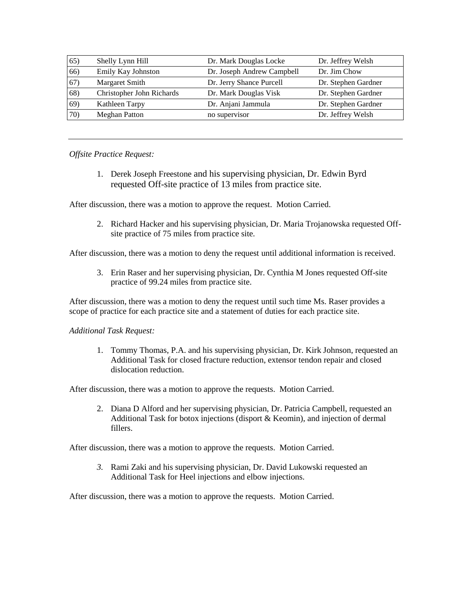| 65) | Shelly Lynn Hill          | Dr. Mark Douglas Locke     | Dr. Jeffrey Welsh   |
|-----|---------------------------|----------------------------|---------------------|
| 66) | Emily Kay Johnston        | Dr. Joseph Andrew Campbell | Dr. Jim Chow        |
| 67) | Margaret Smith            | Dr. Jerry Shance Purcell   | Dr. Stephen Gardner |
| 68) | Christopher John Richards | Dr. Mark Douglas Visk      | Dr. Stephen Gardner |
| 69) | Kathleen Tarpy            | Dr. Anjani Jammula         | Dr. Stephen Gardner |
| 70) | <b>Meghan Patton</b>      | no supervisor              | Dr. Jeffrey Welsh   |

#### *Offsite Practice Request:*

1. Derek Joseph Freestone and his supervising physician, Dr. Edwin Byrd requested Off-site practice of 13 miles from practice site.

After discussion, there was a motion to approve the request. Motion Carried.

2. Richard Hacker and his supervising physician, Dr. Maria Trojanowska requested Offsite practice of 75 miles from practice site.

After discussion, there was a motion to deny the request until additional information is received.

3. Erin Raser and her supervising physician, Dr. Cynthia M Jones requested Off-site practice of 99.24 miles from practice site.

After discussion, there was a motion to deny the request until such time Ms. Raser provides a scope of practice for each practice site and a statement of duties for each practice site.

#### *Additional Task Request:*

1. Tommy Thomas, P.A. and his supervising physician, Dr. Kirk Johnson, requested an Additional Task for closed fracture reduction, extensor tendon repair and closed dislocation reduction.

After discussion, there was a motion to approve the requests. Motion Carried.

2. Diana D Alford and her supervising physician, Dr. Patricia Campbell, requested an Additional Task for botox injections (disport & Keomin), and injection of dermal fillers.

After discussion, there was a motion to approve the requests. Motion Carried.

*3.* Rami Zaki and his supervising physician, Dr. David Lukowski requested an Additional Task for Heel injections and elbow injections.

After discussion, there was a motion to approve the requests. Motion Carried.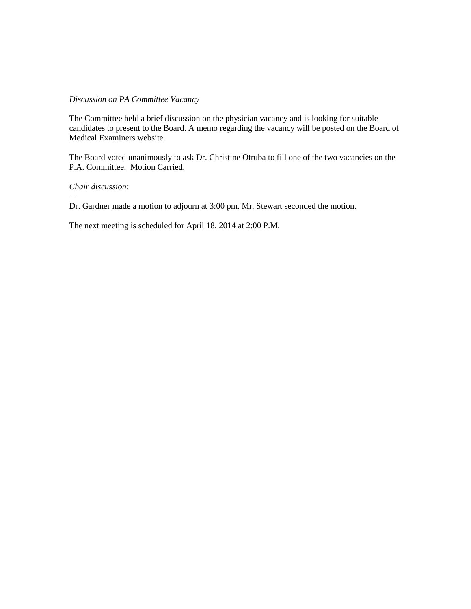#### *Discussion on PA Committee Vacancy*

The Committee held a brief discussion on the physician vacancy and is looking for suitable candidates to present to the Board. A memo regarding the vacancy will be posted on the Board of Medical Examiners website.

The Board voted unanimously to ask Dr. Christine Otruba to fill one of the two vacancies on the P.A. Committee. Motion Carried.

*Chair discussion:*

---

Dr. Gardner made a motion to adjourn at 3:00 pm. Mr. Stewart seconded the motion.

The next meeting is scheduled for April 18, 2014 at 2:00 P.M.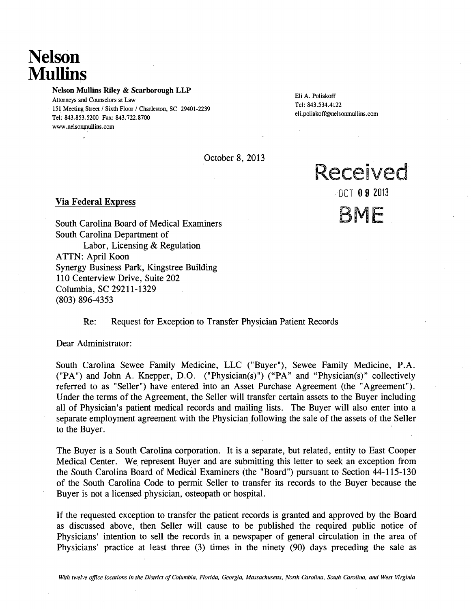## **Nelson Mullins**

Nelson Mullins Riley & Scarborough LLP

Eli A. Poliakoff Attorneys and Counselors at Law Tel: 843.534.4122<br>Tel: 843.534.4122 eli.poliakoff@nelsonmullins.com Tel: 843.853.5200 Fax: 843.722.8700 www.nelsonmullins.com

Received

<sup>o</sup>'OCT 09 2013

BME

October 8, 2013

#### Via Federal Express

 $\ddot{\phantom{0}}$ 

South Carolina Board of Medical Examiners South Carolina Department of Labor, Licensing & Regulation ATTN: April Koon Synergy Business Park, Kingstree Building 110 Centerview Drive, Suite 202 Columbia, SC 29211-1329 (803) 896-4353

#### Re: Request for Exception to Transfer Physician Patient Records

Dear Administrator:

South Carolina Sewee Family Medicine, LLC ("Buyer"), Sewee Family Medicine, P.A. ("PA") and John A. Knepper, D.O. ("Physician(s)") ("PA" and "Physician(s)" collectively referred to as "Seller") have entered into an Asset Purchase Agreement (the "Agreement"). Under the terms of the Agreement, the Seller will transfer certain assets to the Buyer including all of Physician's patient medical records and mailing lists. The Buyer will also enter into a separate employment agreement with the Physician following the sale of the assets of the Seller to the Buyer.

The Buyer is a South Carolina corporation. It is a separate, but related, entity to East Cooper Medical Center. We represent Buyer and are submitting this letter to seek an exception from the South Carolina Board of Medical Examiners (the "Board") pursuant to Section 44-115-130 of the South Carolina Code to permit Seller to transfer its records to the Buyer because the Buyer is not a licensed physician, osteopath or hospital.

If the requested exception to transfer the patient records is granted and approved by the Board as discussed above, then Seller will cause to be published the required public notice of Physicians' intention to sell the records in a newspaper of general circulation in the area of Physicians' practice at least three (3) times in the ninety (90) days preceding the sale as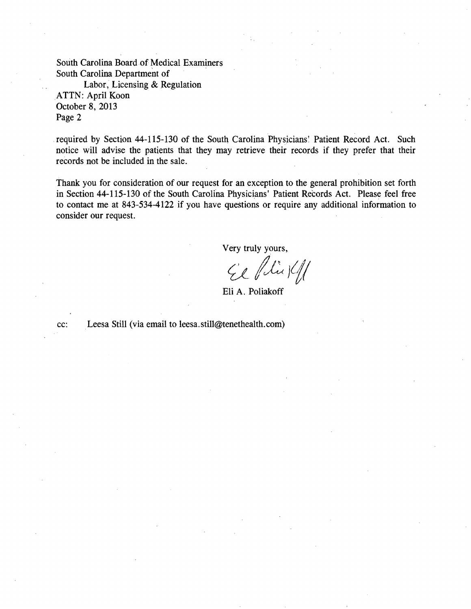South Carolina Board of Medical Examiners South Carolina Department of

Labor, Licensing & Regulation ATTN: April Koon October 8, 2013 Page 2

required by Section 44-115-130 of the South Carolina Physicians: Patient Record Act. Such notice will advise the patients that they may retrieve their records if they prefer that their records not be included in the sale.

Thank you for consideration of our request for an exception to the general prohibition set forth in Section 44-115-130 of the South Carolina Physicians' Patient Records Act. Please feel free to contact me at 843-534-4122 if you have questions or require any additional information to consider our request.

Very truly yours,

 $CE$  flies  $4/$ 

Eli A. Poliakoff

cc: Leesa Still (via email toleesa.still@tenethealth.com)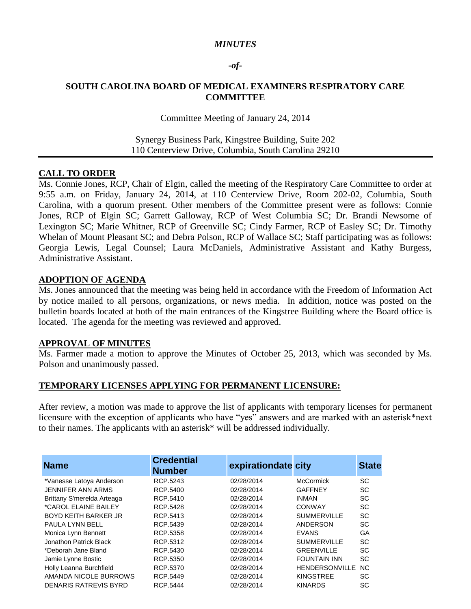#### *MINUTES*

#### *-of-*

#### **SOUTH CAROLINA BOARD OF MEDICAL EXAMINERS RESPIRATORY CARE COMMITTEE**

#### Committee Meeting of January 24, 2014

#### Synergy Business Park, Kingstree Building, Suite 202 110 Centerview Drive, Columbia, South Carolina 29210

#### **CALL TO ORDER**

Ms. Connie Jones, RCP, Chair of Elgin, called the meeting of the Respiratory Care Committee to order at 9:55 a.m. on Friday, January 24, 2014, at 110 Centerview Drive, Room 202-02, Columbia, South Carolina, with a quorum present. Other members of the Committee present were as follows: Connie Jones, RCP of Elgin SC; Garrett Galloway, RCP of West Columbia SC; Dr. Brandi Newsome of Lexington SC; Marie Whitner, RCP of Greenville SC; Cindy Farmer, RCP of Easley SC; Dr. Timothy Whelan of Mount Pleasant SC; and Debra Polson, RCP of Wallace SC; Staff participating was as follows: Georgia Lewis, Legal Counsel; Laura McDaniels, Administrative Assistant and Kathy Burgess, Administrative Assistant.

#### **ADOPTION OF AGENDA**

Ms. Jones announced that the meeting was being held in accordance with the Freedom of Information Act by notice mailed to all persons, organizations, or news media. In addition, notice was posted on the bulletin boards located at both of the main entrances of the Kingstree Building where the Board office is located. The agenda for the meeting was reviewed and approved.

#### **APPROVAL OF MINUTES**

Ms. Farmer made a motion to approve the Minutes of October 25, 2013, which was seconded by Ms. Polson and unanimously passed.

#### **TEMPORARY LICENSES APPLYING FOR PERMANENT LICENSURE:**

After review, a motion was made to approve the list of applicants with temporary licenses for permanent licensure with the exception of applicants who have "yes" answers and are marked with an asterisk\*next to their names. The applicants with an asterisk\* will be addressed individually.

| <b>Name</b>                 | <b>Credential</b><br><b>Number</b> | expirationdate city |                       | <b>State</b>   |
|-----------------------------|------------------------------------|---------------------|-----------------------|----------------|
| *Vanesse Latoya Anderson    | RCP.5243                           | 02/28/2014          | <b>McCormick</b>      | SC             |
| <b>JENNIFER ANN ARMS</b>    | RCP.5400                           | 02/28/2014          | <b>GAFFNEY</b>        | SC             |
| Brittany S'merelda Arteaga  | RCP.5410                           | 02/28/2014          | <b>INMAN</b>          | SC             |
| *CAROL ELAINE BAILEY        | RCP.5428                           | 02/28/2014          | <b>CONWAY</b>         | SC             |
| <b>BOYD KEITH BARKER JR</b> | RCP.5413                           | 02/28/2014          | <b>SUMMERVILLE</b>    | SC             |
| PAULA LYNN BELL             | RCP.5439                           | 02/28/2014          | ANDERSON              | SC             |
| Monica Lynn Bennett         | RCP.5358                           | 02/28/2014          | <b>EVANS</b>          | GA             |
| Jonathon Patrick Black      | RCP.5312                           | 02/28/2014          | <b>SUMMERVILLE</b>    | SC             |
| *Deborah Jane Bland         | RCP.5430                           | 02/28/2014          | <b>GREENVILLE</b>     | SC             |
| Jamie Lynne Bostic          | RCP.5350                           | 02/28/2014          | <b>FOUNTAIN INN</b>   | SC             |
| Holly Leanna Burchfield     | RCP.5370                           | 02/28/2014          | <b>HENDERSONVILLE</b> | N <sub>C</sub> |
| AMANDA NICOLE BURROWS       | RCP.5449                           | 02/28/2014          | <b>KINGSTREE</b>      | SC             |
| DENARIS RATREVIS BYRD       | RCP.5444                           | 02/28/2014          | <b>KINARDS</b>        | SC             |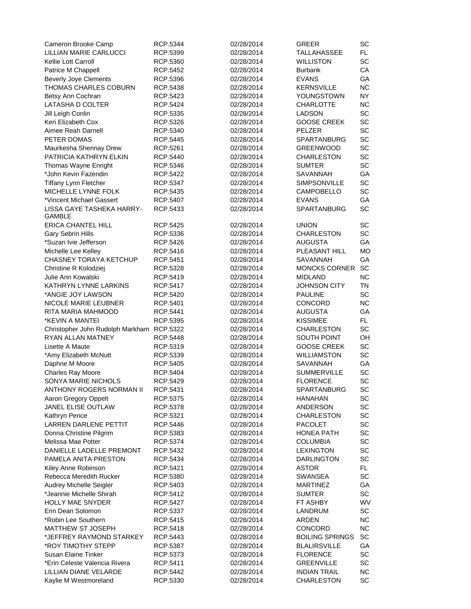| Cameron Brooke Camp                        | RCP.5344 | 02/28/2014 | GREER                                 | SC        |
|--------------------------------------------|----------|------------|---------------------------------------|-----------|
| LILLIAN MARIE CARLUCCI                     | RCP.5399 | 02/28/2014 | <b>TALLAHASSEE</b>                    | FL.       |
| Kellie Lott Carroll                        | RCP.5360 | 02/28/2014 | <b>WILLISTON</b>                      | SC        |
| Patrice M Chappell                         | RCP.5452 | 02/28/2014 | <b>Burbank</b>                        | CA        |
| <b>Beverly Joye Clements</b>               | RCP.5396 | 02/28/2014 | <b>EVANS</b>                          | GA        |
| THOMAS CHARLES COBURN                      | RCP.5438 | 02/28/2014 | <b>KERNSVILLE</b>                     | <b>NC</b> |
| Betsy Ann Cochran                          | RCP.5423 | 02/28/2014 | YOUNGSTOWN                            | <b>NY</b> |
| LATASHA D COLTER                           | RCP.5424 | 02/28/2014 | <b>CHARLOTTE</b>                      | <b>NC</b> |
| Jill Leigh Conlin                          | RCP.5335 | 02/28/2014 | <b>LADSON</b>                         | SC        |
| Keri Elizabeth Cox                         | RCP.5326 | 02/28/2014 | <b>GOOSE CREEK</b>                    | SC        |
| Aimee Reah Darnell                         | RCP.5340 | 02/28/2014 | PELZER                                | SC        |
| PETER DOMAS                                | RCP.5445 | 02/28/2014 | <b>SPARTANBURG</b>                    | SC        |
| Maurkesha Shennay Drew                     | RCP.5261 | 02/28/2014 | <b>GREENWOOD</b>                      | SC        |
| PATRICIA KATHRYN ELKIN                     | RCP.5440 | 02/28/2014 | <b>CHARLESTON</b>                     | SC        |
| Thomas Wayne Enright                       | RCP.5346 | 02/28/2014 | <b>SUMTER</b>                         | SC        |
| *John Kevin Fazendin                       | RCP.5422 | 02/28/2014 | SAVANNAH                              | GA        |
| <b>Tiffany Lynn Fletcher</b>               | RCP.5347 | 02/28/2014 | SIMPSONVILLE                          | SC        |
| MICHELLE LYNNE FOLK                        | RCP.5435 | 02/28/2014 | <b>CAMPOBELLO</b>                     | SC        |
| *Vincent Michael Gassert                   | RCP.5407 | 02/28/2014 | <b>EVANS</b>                          | GA        |
| LISSA GAYE TASHEKA HARRY-<br><b>GAMBLE</b> | RCP.5433 | 02/28/2014 | <b>SPARTANBURG</b>                    | SC        |
| <b>ERICA CHANTEL HILL</b>                  | RCP.5425 | 02/28/2014 | <b>UNION</b>                          | SC        |
| Gary Sebrin Hills                          | RCP.5336 | 02/28/2014 | CHARLESTON                            | SC        |
| *Suzan Ivie Jefferson                      | RCP.5426 | 02/28/2014 | AUGUSTA                               | GA        |
| Michelle Lee Kelley                        | RCP.5416 | 02/28/2014 | PLEASANT HILL                         | <b>MO</b> |
| CHASNEY TORAYA KETCHUP                     | RCP.5451 | 02/28/2014 | <b>SAVANNAH</b>                       | GA        |
| Christine R Kolodziej                      | RCP.5328 | 02/28/2014 | <b>MONCKS CORNER</b>                  | <b>SC</b> |
| Julie Ann Kowalski                         | RCP.5419 | 02/28/2014 | <b>MIDLAND</b>                        | <b>NC</b> |
| KATHRYN LYNNE LARKINS                      | RCP.5417 | 02/28/2014 | JOHNSON CITY                          | TN        |
| *ANGIE JOY LAWSON                          | RCP.5420 | 02/28/2014 | <b>PAULINE</b>                        | SC        |
| NICOLE MARIE LEUBNER                       | RCP.5401 | 02/28/2014 | CONCORD                               | <b>NC</b> |
| RITA MARIA MAHMOOD                         | RCP.5441 | 02/28/2014 | <b>AUGUSTA</b>                        | GA        |
| *KEVIN A MANTEI                            | RCP.5395 | 02/28/2014 | KISSIMEE                              | FL.       |
| Christopher John Rudolph Markham RCP.5322  |          | 02/28/2014 | <b>CHARLESTON</b>                     | SC        |
| <b>RYAN ALLAN MATNEY</b>                   | RCP.5448 | 02/28/2014 | <b>SOUTH POINT</b>                    | OH        |
| Lisette A Maute                            | RCP.5319 | 02/28/2014 | <b>GOOSE CREEK</b>                    | SC        |
|                                            |          |            | <b>WILLIAMSTON</b>                    | SC        |
| *Amy Elizabeth McNutt<br>Daphne M Moore    | RCP.5339 | 02/28/2014 |                                       | GA        |
| Charles Ray Moore                          | RCP.5405 | 02/28/2014 | SAVANNAH                              | SC        |
|                                            | RCP.5404 | 02/28/2014 | <b>SUMMERVILLE</b>                    | <b>SC</b> |
| SONYA MARIE NICHOLS                        | RCP.5429 | 02/28/2014 | <b>FLORENCE</b><br><b>SPARTANBURG</b> |           |
| ANTHONY ROGERS NORMAN II                   | RCP.5431 | 02/28/2014 |                                       | SC        |
| Aaron Gregory Oppelt                       | RCP.5375 | 02/28/2014 | HANAHAN                               | SC        |
| JANEL ELISE OUTLAW                         | RCP.5378 | 02/28/2014 | <b>ANDERSON</b>                       | SC        |
| Kathryn Pence                              | RCP.5321 | 02/28/2014 | <b>CHARLESTON</b>                     | SC        |
| <b>LARREN DARLENE PETTIT</b>               | RCP.5446 | 02/28/2014 | <b>PACOLET</b>                        | SC        |
| Donna Christine Pilgrim                    | RCP.5383 | 02/28/2014 | HONEA PATH                            | SC        |
| Melissa Mae Potter                         | RCP.5374 | 02/28/2014 | <b>COLUMBIA</b>                       | SC        |
| DANIELLE LADELLE PREMONT                   | RCP.5432 | 02/28/2014 | <b>LEXINGTON</b>                      | SC        |
| PAMELA ANITA PRESTON                       | RCP.5434 | 02/28/2014 | <b>DARLINGTON</b>                     | SC        |
| Kiley Anne Robinson                        | RCP.5421 | 02/28/2014 | ASTOR                                 | FL        |
| Rebecca Meredith Rucker                    | RCP.5380 | 02/28/2014 | SWANSEA                               | SC        |
| Audrey Michelle Seigler                    | RCP.5403 | 02/28/2014 | <b>MARTINEZ</b>                       | GA        |
| *Jeannie Michelle Shirah                   | RCP.5412 | 02/28/2014 | <b>SUMTER</b>                         | SC        |
| <b>HOLLY MAE SNYDER</b>                    | RCP.5427 | 02/28/2014 | FT ASHBY                              | WV        |
| Erin Dean Solomon                          | RCP.5337 | 02/28/2014 | LANDRUM                               | SC        |
| *Robin Lee Southern                        | RCP.5415 | 02/28/2014 | <b>ARDEN</b>                          | <b>NC</b> |
| MATTHEW ST JOSEPH                          | RCP.5418 | 02/28/2014 | CONCORD                               | <b>NC</b> |
| *JEFFREY RAYMOND STARKEY                   | RCP.5443 | 02/28/2014 | <b>BOILING SPRINGS</b>                | SC        |
| *ROY TIMOTHY STEPP                         | RCP.5387 | 02/28/2014 | <b>BLALIRSVILLE</b>                   | GA        |
| Susan Elaine Tinker                        | RCP.5373 | 02/28/2014 | <b>FLORENCE</b>                       | SC        |
| *Erin Celeste Valencia Rivera              | RCP.5411 | 02/28/2014 | <b>GREENVILLE</b>                     | SC        |
| LILLIAN DIANE VELARDE                      | RCP.5442 | 02/28/2014 | <b>INDIAN TRAIL</b>                   | <b>NC</b> |
| Kaylie M Westmoreland                      | RCP.5330 | 02/28/2014 | <b>CHARLESTON</b>                     | SC        |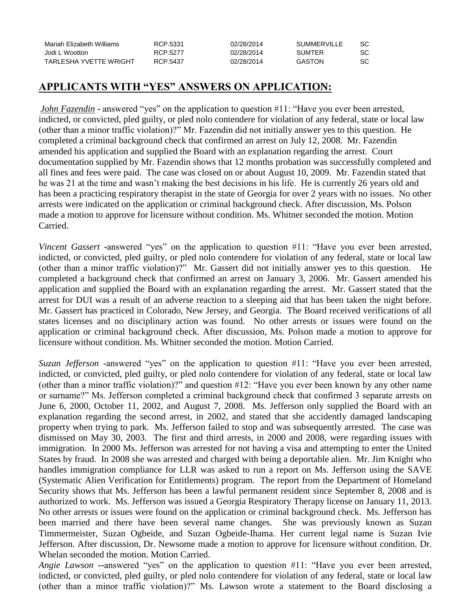| Mariah Elizabeth Williams | RCP.5331 | 02/28/2014 | SUMMERVILLE | SC. |
|---------------------------|----------|------------|-------------|-----|
| Jodi L Wootton            | RCP 5277 | 02/28/2014 | SUMTER      | SC. |
| TARLESHA YVETTE WRIGHT    | RCP.5437 | 02/28/2014 | GASTON      | SC. |

## **APPLICANTS WITH "YES" ANSWERS ON APPLICATION:**

*John Fazendin* **-** answered "yes" on the application to question #11: "Have you ever been arrested, indicted, or convicted, pled guilty, or pled nolo contendere for violation of any federal, state or local law (other than a minor traffic violation)?" Mr. Fazendin did not initially answer yes to this question. He completed a criminal background check that confirmed an arrest on July 12, 2008. Mr. Fazendin amended his application and supplied the Board with an explanation regarding the arrest. Court documentation supplied by Mr. Fazendin shows that 12 months probation was successfully completed and all fines and fees were paid. The case was closed on or about August 10, 2009. Mr. Fazendin stated that he was 21 at the time and wasn't making the best decisions in his life. He is currently 26 years old and has been a practicing respiratory therapist in the state of Georgia for over 2 years with no issues. No other arrests were indicated on the application or criminal background check. After discussion, Ms. Polson made a motion to approve for licensure without condition. Ms. Whitner seconded the motion. Motion Carried.

*Vincent Gassert* **-**answered "yes" on the application to question #11: "Have you ever been arrested, indicted, or convicted, pled guilty, or pled nolo contendere for violation of any federal, state or local law (other than a minor traffic violation)?" Mr. Gassert did not initially answer yes to this question. He completed a background check that confirmed an arrest on January 3, 2006. Mr. Gassert amended his application and supplied the Board with an explanation regarding the arrest. Mr. Gassert stated that the arrest for DUI was a result of an adverse reaction to a sleeping aid that has been taken the night before. Mr. Gassert has practiced in Colorado, New Jersey, and Georgia. The Board received verifications of all states licenses and no disciplinary action was found. No other arrests or issues were found on the application or criminal background check. After discussion, Ms. Polson made a motion to approve for licensure without condition. Ms. Whitner seconded the motion. Motion Carried.

*Suzan Jefferson* **-**answered "yes" on the application to question #11: "Have you ever been arrested, indicted, or convicted, pled guilty, or pled nolo contendere for violation of any federal, state or local law (other than a minor traffic violation)?" and question #12: "Have you ever been known by any other name or surname?" Ms. Jefferson completed a criminal background check that confirmed 3 separate arrests on June 6, 2000, October 11, 2002, and August 7, 2008. Ms. Jefferson only supplied the Board with an explanation regarding the second arrest, in 2002, and stated that she accidently damaged landscaping property when trying to park. Ms. Jefferson failed to stop and was subsequently arrested. The case was dismissed on May 30, 2003. The first and third arrests, in 2000 and 2008, were regarding issues with immigration. In 2000 Ms. Jefferson was arrested for not having a visa and attempting to enter the United States by fraud. In 2008 she was arrested and charged with being a deportable alien. Mr. Jim Knight who handles immigration compliance for LLR was asked to run a report on Ms. Jefferson using the SAVE (Systematic Alien Verification for Entitlements) program. The report from the Department of Homeland Security shows that Ms. Jefferson has been a lawful permanent resident since September 8, 2008 and is authorized to work. Ms. Jefferson was issued a Georgia Respiratory Therapy license on January 11, 2013. No other arrests or issues were found on the application or criminal background check. Ms. Jefferson has been married and there have been several name changes. She was previously known as Suzan Timmermeister, Suzan Ogbeide, and Suzan Ogbeide-Ihama. Her current legal name is Suzan Ivie Jefferson. After discussion, Dr. Newsome made a motion to approve for licensure without condition. Dr. Whelan seconded the motion. Motion Carried.

*Angie Lawson* **--**answered "yes" on the application to question #11: "Have you ever been arrested, indicted, or convicted, pled guilty, or pled nolo contendere for violation of any federal, state or local law (other than a minor traffic violation)?" Ms. Lawson wrote a statement to the Board disclosing a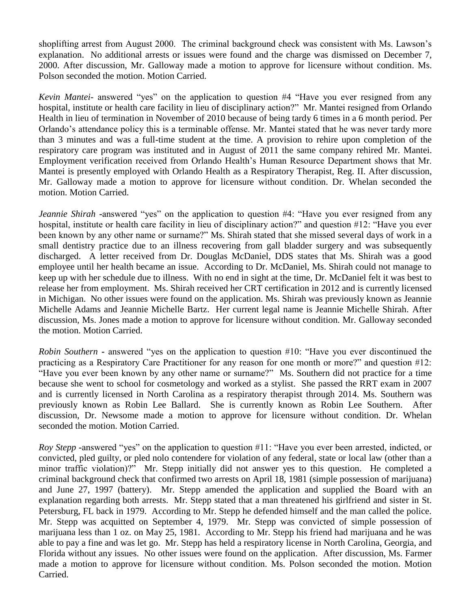shoplifting arrest from August 2000. The criminal background check was consistent with Ms. Lawson's explanation. No additional arrests or issues were found and the charge was dismissed on December 7, 2000. After discussion, Mr. Galloway made a motion to approve for licensure without condition. Ms. Polson seconded the motion. Motion Carried.

*Kevin Mantei-* answered "yes" on the application to question #4 "Have you ever resigned from any hospital, institute or health care facility in lieu of disciplinary action?" Mr. Mantei resigned from Orlando Health in lieu of termination in November of 2010 because of being tardy 6 times in a 6 month period. Per Orlando's attendance policy this is a terminable offense. Mr. Mantei stated that he was never tardy more than 3 minutes and was a full-time student at the time. A provision to rehire upon completion of the respiratory care program was instituted and in August of 2011 the same company rehired Mr. Mantei. Employment verification received from Orlando Health's Human Resource Department shows that Mr. Mantei is presently employed with Orlando Health as a Respiratory Therapist, Reg. II. After discussion, Mr. Galloway made a motion to approve for licensure without condition. Dr. Whelan seconded the motion. Motion Carried.

*Jeannie Shirah* **-**answered "yes" on the application to question #4: "Have you ever resigned from any hospital, institute or health care facility in lieu of disciplinary action?" and question #12: "Have you ever been known by any other name or surname?" Ms. Shirah stated that she missed several days of work in a small dentistry practice due to an illness recovering from gall bladder surgery and was subsequently discharged. A letter received from Dr. Douglas McDaniel, DDS states that Ms. Shirah was a good employee until her health became an issue. According to Dr. McDaniel, Ms. Shirah could not manage to keep up with her schedule due to illness. With no end in sight at the time, Dr. McDaniel felt it was best to release her from employment. Ms. Shirah received her CRT certification in 2012 and is currently licensed in Michigan. No other issues were found on the application. Ms. Shirah was previously known as Jeannie Michelle Adams and Jeannie Michelle Bartz. Her current legal name is Jeannie Michelle Shirah. After discussion, Ms. Jones made a motion to approve for licensure without condition. Mr. Galloway seconded the motion. Motion Carried.

*Robin Southern* **-** answered "yes on the application to question #10: "Have you ever discontinued the practicing as a Respiratory Care Practitioner for any reason for one month or more?" and question #12: "Have you ever been known by any other name or surname?" Ms. Southern did not practice for a time because she went to school for cosmetology and worked as a stylist. She passed the RRT exam in 2007 and is currently licensed in North Carolina as a respiratory therapist through 2014. Ms. Southern was previously known as Robin Lee Ballard. She is currently known as Robin Lee Southern. After discussion, Dr. Newsome made a motion to approve for licensure without condition. Dr. Whelan seconded the motion. Motion Carried.

*Roy Stepp* **-**answered "yes" on the application to question #11: "Have you ever been arrested, indicted, or convicted, pled guilty, or pled nolo contendere for violation of any federal, state or local law (other than a minor traffic violation)?" Mr. Stepp initially did not answer yes to this question. He completed a criminal background check that confirmed two arrests on April 18, 1981 (simple possession of marijuana) and June 27, 1997 (battery). Mr. Stepp amended the application and supplied the Board with an explanation regarding both arrests. Mr. Stepp stated that a man threatened his girlfriend and sister in St. Petersburg, FL back in 1979. According to Mr. Stepp he defended himself and the man called the police. Mr. Stepp was acquitted on September 4, 1979. Mr. Stepp was convicted of simple possession of marijuana less than 1 oz. on May 25, 1981. According to Mr. Stepp his friend had marijuana and he was able to pay a fine and was let go. Mr. Stepp has held a respiratory license in North Carolina, Georgia, and Florida without any issues. No other issues were found on the application. After discussion, Ms. Farmer made a motion to approve for licensure without condition. Ms. Polson seconded the motion. Motion Carried.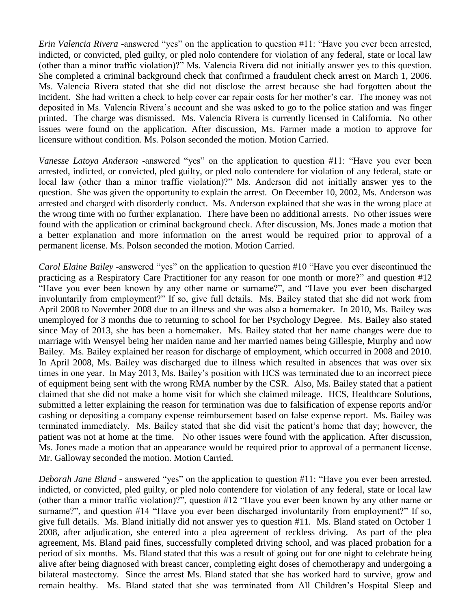*Erin Valencia Rivera* **-**answered "yes" on the application to question #11: "Have you ever been arrested, indicted, or convicted, pled guilty, or pled nolo contendere for violation of any federal, state or local law (other than a minor traffic violation)?" Ms. Valencia Rivera did not initially answer yes to this question. She completed a criminal background check that confirmed a fraudulent check arrest on March 1, 2006. Ms. Valencia Rivera stated that she did not disclose the arrest because she had forgotten about the incident. She had written a check to help cover car repair costs for her mother's car. The money was not deposited in Ms. Valencia Rivera's account and she was asked to go to the police station and was finger printed. The charge was dismissed. Ms. Valencia Rivera is currently licensed in California. No other issues were found on the application. After discussion, Ms. Farmer made a motion to approve for licensure without condition. Ms. Polson seconded the motion. Motion Carried.

*Vanesse Latoya Anderson* **-**answered "yes" on the application to question #11: "Have you ever been arrested, indicted, or convicted, pled guilty, or pled nolo contendere for violation of any federal, state or local law (other than a minor traffic violation)?" Ms. Anderson did not initially answer yes to the question. She was given the opportunity to explain the arrest. On December 10, 2002, Ms. Anderson was arrested and charged with disorderly conduct. Ms. Anderson explained that she was in the wrong place at the wrong time with no further explanation. There have been no additional arrests. No other issues were found with the application or criminal background check. After discussion, Ms. Jones made a motion that a better explanation and more information on the arrest would be required prior to approval of a permanent license. Ms. Polson seconded the motion. Motion Carried.

*Carol Elaine Bailey* -answered "yes" on the application to question #10 "Have you ever discontinued the practicing as a Respiratory Care Practitioner for any reason for one month or more?" and question #12 "Have you ever been known by any other name or surname?", and "Have you ever been discharged involuntarily from employment?" If so, give full details. Ms. Bailey stated that she did not work from April 2008 to November 2008 due to an illness and she was also a homemaker. In 2010, Ms. Bailey was unemployed for 3 months due to returning to school for her Psychology Degree. Ms. Bailey also stated since May of 2013, she has been a homemaker. Ms. Bailey stated that her name changes were due to marriage with Wensyel being her maiden name and her married names being Gillespie, Murphy and now Bailey. Ms. Bailey explained her reason for discharge of employment, which occurred in 2008 and 2010. In April 2008, Ms. Bailey was discharged due to illness which resulted in absences that was over six times in one year. In May 2013, Ms. Bailey's position with HCS was terminated due to an incorrect piece of equipment being sent with the wrong RMA number by the CSR. Also, Ms. Bailey stated that a patient claimed that she did not make a home visit for which she claimed mileage. HCS, Healthcare Solutions, submitted a letter explaining the reason for termination was due to falsification of expense reports and/or cashing or depositing a company expense reimbursement based on false expense report. Ms. Bailey was terminated immediately. Ms. Bailey stated that she did visit the patient's home that day; however, the patient was not at home at the time. No other issues were found with the application. After discussion, Ms. Jones made a motion that an appearance would be required prior to approval of a permanent license. Mr. Galloway seconded the motion. Motion Carried.

*Deborah Jane Bland* **-** answered "yes" on the application to question #11: "Have you ever been arrested, indicted, or convicted, pled guilty, or pled nolo contendere for violation of any federal, state or local law (other than a minor traffic violation)?", question #12 "Have you ever been known by any other name or surname?", and question #14 "Have you ever been discharged involuntarily from employment?" If so, give full details. Ms. Bland initially did not answer yes to question #11. Ms. Bland stated on October 1 2008, after adjudication, she entered into a plea agreement of reckless driving. As part of the plea agreement, Ms. Bland paid fines, successfully completed driving school, and was placed probation for a period of six months. Ms. Bland stated that this was a result of going out for one night to celebrate being alive after being diagnosed with breast cancer, completing eight doses of chemotherapy and undergoing a bilateral mastectomy. Since the arrest Ms. Bland stated that she has worked hard to survive, grow and remain healthy. Ms. Bland stated that she was terminated from All Children's Hospital Sleep and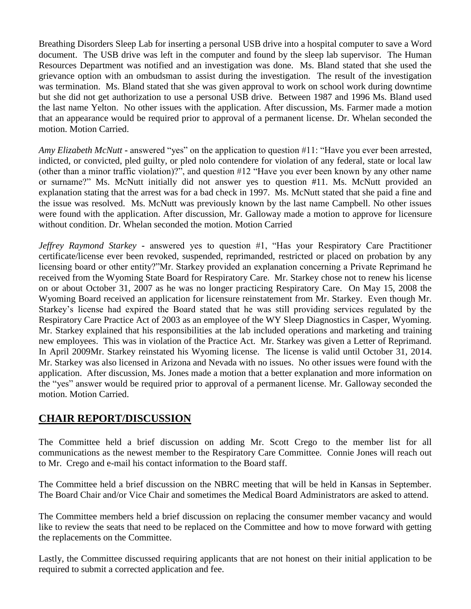Breathing Disorders Sleep Lab for inserting a personal USB drive into a hospital computer to save a Word document. The USB drive was left in the computer and found by the sleep lab supervisor. The Human Resources Department was notified and an investigation was done. Ms. Bland stated that she used the grievance option with an ombudsman to assist during the investigation. The result of the investigation was termination. Ms. Bland stated that she was given approval to work on school work during downtime but she did not get authorization to use a personal USB drive. Between 1987 and 1996 Ms. Bland used the last name Yelton. No other issues with the application. After discussion, Ms. Farmer made a motion that an appearance would be required prior to approval of a permanent license. Dr. Whelan seconded the motion. Motion Carried.

*Amy Elizabeth McNutt* **-** answered "yes" on the application to question #11: "Have you ever been arrested, indicted, or convicted, pled guilty, or pled nolo contendere for violation of any federal, state or local law (other than a minor traffic violation)?", and question #12 "Have you ever been known by any other name or surname?" Ms. McNutt initially did not answer yes to question #11. Ms. McNutt provided an explanation stating that the arrest was for a bad check in 1997. Ms. McNutt stated that she paid a fine and the issue was resolved. Ms. McNutt was previously known by the last name Campbell. No other issues were found with the application. After discussion, Mr. Galloway made a motion to approve for licensure without condition. Dr. Whelan seconded the motion. Motion Carried

*Jeffrey Raymond Starkey* **-** answered yes to question #1, "Has your Respiratory Care Practitioner certificate/license ever been revoked, suspended, reprimanded, restricted or placed on probation by any licensing board or other entity?"Mr. Starkey provided an explanation concerning a Private Reprimand he received from the Wyoming State Board for Respiratory Care. Mr. Starkey chose not to renew his license on or about October 31, 2007 as he was no longer practicing Respiratory Care. On May 15, 2008 the Wyoming Board received an application for licensure reinstatement from Mr. Starkey. Even though Mr. Starkey's license had expired the Board stated that he was still providing services regulated by the Respiratory Care Practice Act of 2003 as an employee of the WY Sleep Diagnostics in Casper, Wyoming. Mr. Starkey explained that his responsibilities at the lab included operations and marketing and training new employees. This was in violation of the Practice Act. Mr. Starkey was given a Letter of Reprimand. In April 2009Mr. Starkey reinstated his Wyoming license. The license is valid until October 31, 2014. Mr. Starkey was also licensed in Arizona and Nevada with no issues. No other issues were found with the application. After discussion, Ms. Jones made a motion that a better explanation and more information on the "yes" answer would be required prior to approval of a permanent license. Mr. Galloway seconded the motion. Motion Carried.

## **CHAIR REPORT/DISCUSSION**

The Committee held a brief discussion on adding Mr. Scott Crego to the member list for all communications as the newest member to the Respiratory Care Committee. Connie Jones will reach out to Mr. Crego and e-mail his contact information to the Board staff.

The Committee held a brief discussion on the NBRC meeting that will be held in Kansas in September. The Board Chair and/or Vice Chair and sometimes the Medical Board Administrators are asked to attend.

The Committee members held a brief discussion on replacing the consumer member vacancy and would like to review the seats that need to be replaced on the Committee and how to move forward with getting the replacements on the Committee.

Lastly, the Committee discussed requiring applicants that are not honest on their initial application to be required to submit a corrected application and fee.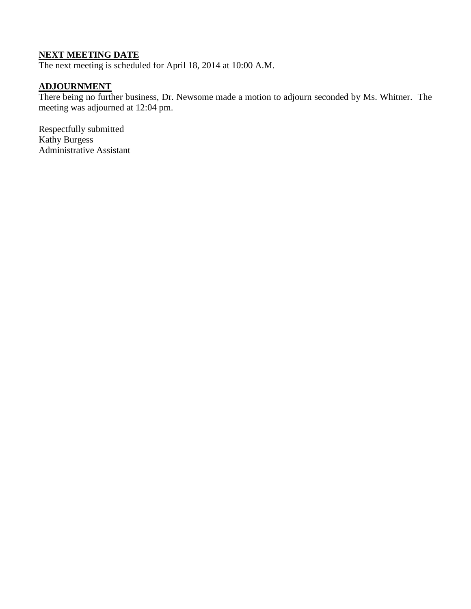## **NEXT MEETING DATE**

The next meeting is scheduled for April 18, 2014 at 10:00 A.M.

## **ADJOURNMENT**

There being no further business, Dr. Newsome made a motion to adjourn seconded by Ms. Whitner. The meeting was adjourned at 12:04 pm.

Respectfully submitted Kathy Burgess Administrative Assistant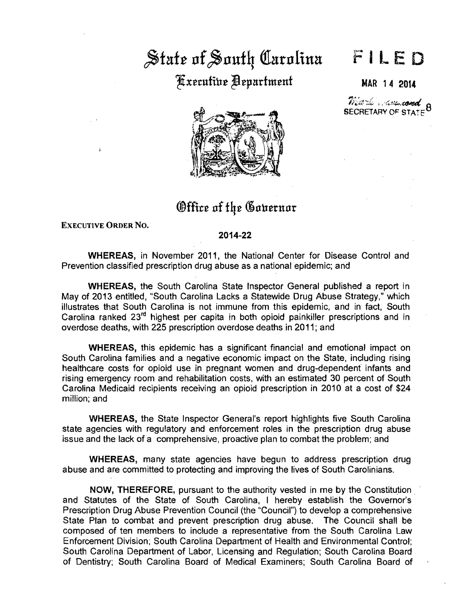# State of South Carolina ~x~rufint ~~pttrfm~nf MAR 14 2014

## FILED

 $\widetilde{m}$  is the second  $\rho$ SECRETARY OF STATE<sup>8</sup>



## Office of the Governor

EXECUTIVE ORDER No.

#### 2014-22

WHEREAS, in November 2011, the National Center for Disease Control and Prevention classified prescription drug abuse as a national epidemic; and

WHEREAS, the South Carolina State Inspector General published a report in May of 2013 entitled, "South Carolina Lacks a Statewide Drug Abuse Strategy," which illustrates that South Carolina is not immune from this epidemic, and in fact, South Carolina ranked 23<sup>rd</sup> highest per capita in both opioid painkiller prescriptions and in overdose deaths, with 225 prescription overdose deaths in 2011; and

WHEREAS, this epidemic has a significant financial and emotional impact on South Carolina families and a negative economic impact on the State, including rising healthcare costs for opioid use in pregnant women and drug-dependent infants and rising emergency room and rehabilitation costs, with an estimated 30 percent of South Carolina Medicaid recipients receiving an opioid prescription in 2010 at a cost of \$24 million; and

WHEREAS, the State Inspector General's report highlights five South Carolina state agencies with regulatory and enforcement roles in the prescription drug abuse issue and the lack of a comprehensive, proactive plan to combat the problem; and

WHEREAS, many state agencies have begun to address prescription drug abuse and are committed to protecting and improving the lives of South Carolinians.

NOW, THEREFORE, pursuant to the authority vested in me by the Constitution and Statutes of the State of South Carolina, I hereby establish the Governor's Prescription Drug Abuse Prevention Council (the "Council") to develop a comprehensive State Plan to combat and prevent prescription drug abuse. The Council shall be composed of ten members to include a representative from the South Carolina Law Enforcement Division; South Carolina Department of Health and Environmental Control; South Carolina Department of Labor, Licensing and Regulation; South Carolina Board of Dentistry; South Carolina Board of Medical Examiners; South Carolina Board of